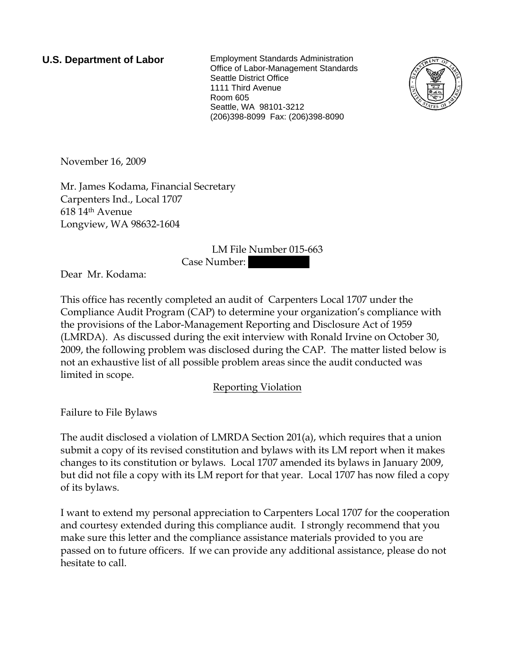**U.S. Department of Labor** Employment Standards Administration Office of Labor-Management Standards Seattle District Office 1111 Third Avenue Room 605 Seattle, WA 98101-3212 (206)398-8099 Fax: (206)398-8090



November 16, 2009

Mr. James Kodama, Financial Secretary Carpenters Ind., Local 1707 618 14th Avenue Longview, WA 98632-1604

## LM File Number 015-663

Case Number: ||

Dear Mr. Kodama:

This office has recently completed an audit of Carpenters Local 1707 under the Compliance Audit Program (CAP) to determine your organization's compliance with the provisions of the Labor-Management Reporting and Disclosure Act of 1959 (LMRDA). As discussed during the exit interview with Ronald Irvine on October 30, 2009, the following problem was disclosed during the CAP. The matter listed below is not an exhaustive list of all possible problem areas since the audit conducted was limited in scope.

Reporting Violation

Failure to File Bylaws

The audit disclosed a violation of LMRDA Section 201(a), which requires that a union submit a copy of its revised constitution and bylaws with its LM report when it makes changes to its constitution or bylaws. Local 1707 amended its bylaws in January 2009, but did not file a copy with its LM report for that year. Local 1707 has now filed a copy of its bylaws.

I want to extend my personal appreciation to Carpenters Local 1707 for the cooperation and courtesy extended during this compliance audit. I strongly recommend that you make sure this letter and the compliance assistance materials provided to you are passed on to future officers. If we can provide any additional assistance, please do not hesitate to call.